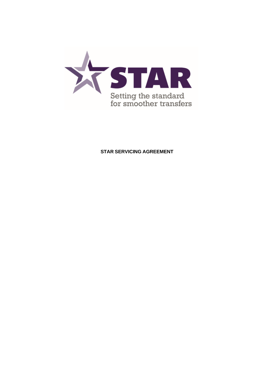

# **STAR SERVICING AGREEMENT**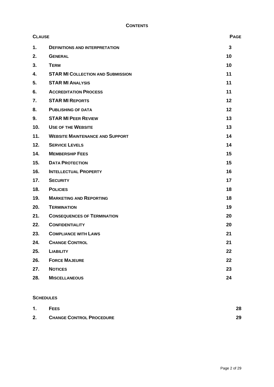| <b>CLAUSE</b> |                                          | <b>PAGE</b>  |
|---------------|------------------------------------------|--------------|
| 1.            | <b>DEFINITIONS AND INTERPRETATION</b>    | $\mathbf{3}$ |
| 2.            | <b>GENERAL</b>                           | 10           |
| 3.            | <b>TERM</b>                              | 10           |
| 4.            | <b>STAR MI COLLECTION AND SUBMISSION</b> | 11           |
| 5.            | <b>STAR MI ANALYSIS</b>                  | 11           |
| 6.            | <b>ACCREDITATION PROCESS</b>             | 11           |
| 7.            | <b>STAR MI REPORTS</b>                   | 12           |
| 8.            | <b>PUBLISHING OF DATA</b>                | 12           |
| 9.            | <b>STAR MI PEER REVIEW</b>               | 13           |
| 10.           | <b>USE OF THE WEBSITE</b>                | 13           |
| 11.           | <b>WEBSITE MAINTENANCE AND SUPPORT</b>   | 14           |
| 12.           | <b>SERVICE LEVELS</b>                    | 14           |
| 14.           | <b>MEMBERSHIP FEES</b>                   | 15           |
| 15.           | <b>DATA PROTECTION</b>                   | 15           |
| 16.           | <b>INTELLECTUAL PROPERTY</b>             | 16           |
| 17.           | <b>SECURITY</b>                          | 17           |
| 18.           | <b>POLICIES</b>                          | 18           |
| 19.           | <b>MARKETING AND REPORTING</b>           | 18           |
| 20.           | <b>TERMINATION</b>                       | 19           |
| 21.           | <b>CONSEQUENCES OF TERMINATION</b>       | 20           |
| 22.           | <b>CONFIDENTIALITY</b>                   | 20           |
| 23.           | <b>COMPLIANCE WITH LAWS</b>              | 21           |
| 24.           | <b>CHANGE CONTROL</b>                    | 21           |
| 25.           | <b>LIABILITY</b>                         | 22           |
| 26.           | <b>FORCE MAJEURE</b>                     | 22           |
| 27.           | <b>NOTICES</b>                           | 23           |
| 28.           | <b>MISCELLANEOUS</b>                     | 24           |

# **SCHEDULES**

| 1. | <b>FEES</b>                     | 28 |
|----|---------------------------------|----|
| 2. | <b>CHANGE CONTROL PROCEDURE</b> | 29 |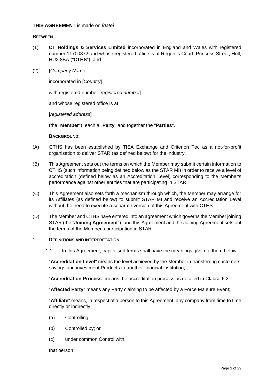#### **THIS AGREEMENT** is made on *[date]*

#### **BETWEEN**

- (1) **CT Holdings & Services Limited** incorporated in England and Wales with registered number 11700872 and whose registered office is at Regent's Court, Princess Street, Hull, HU2 8BA ("**CTHS**"); and
- (2) [*Company Name*]

incorporated in [*Country*]

with registered number [*registered number*]

and whose registered office is at

[*registered address*]

(the "**Member**"), each a "**Party**" and together the "**Parties**".

#### **BACKGROUND:**

- (A) CTHS has been established by TISA Exchange and Criterion Tec as a not-for-profit organisation to deliver STAR (as defined below) for the industry.
- (B) This Agreement sets out the terms on which the Member may submit certain information to CTHS (such information being defined below as the STAR MI) in order to receive a level of accreditation (defined below as an Accreditation Level) corresponding to the Member's performance against other entities that are participating in STAR.
- (C) This Agreement also sets forth a mechanism through which, the Member may arrange for its Affiliates (as defined below) to submit STAR MI and receive an Accreditation Level without the need to execute a separate version of this Agreement with CTHS.
- (D) The Member and CTHS have entered into an agreement which governs the Member joining STAR (the "**Joining Agreement**"), and this Agreement and the Joining Agreement sets out the terms of the Member's participation in STAR.

## <span id="page-2-0"></span>1. **DEFINITIONS AND INTERPRETATION**

1.1 In this Agreement, capitalised terms shall have the meanings given to them below:

"**Accreditation Level**" means the level achieved by the Member in transferring customers' savings and investment Products to another financial institution;

"**Accreditation Process**" means the accreditation process as detailed in Clause [6.2;](#page-10-3)

"**Affected Party**" means any Party claiming to be affected by a Force Majeure Event;

"**Affiliate**" means, in respect of a person to this Agreement, any company from time to time directly or indirectly:

- (a) Controlling;
- (b) Controlled by; or
- (c) under common Control with,

that person;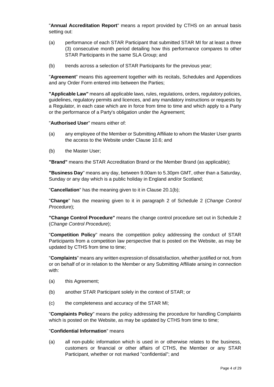"**Annual Accreditation Report**" means a report provided by CTHS on an annual basis setting out:

- (a) performance of each STAR Participant that submitted STAR MI for at least a three (3) consecutive month period detailing how this performance compares to other STAR Participants in the same SLA Group; and
- (b) trends across a selection of STAR Participants for the previous year;

"**Agreement**" means this agreement together with its recitals, Schedules and Appendices and any Order Form entered into between the Parties;

**"Applicable Law"** means all applicable laws, rules, regulations, orders, regulatory policies, guidelines, regulatory permits and licences, and any mandatory instructions or requests by a Regulator, in each case which are in force from time to time and which apply to a Party or the performance of a Party's obligation under the Agreement;

"**Authorised User**" means either of:

- (a) any employee of the Member or Submitting Affiliate to whom the Master User grants the access to the Website under Clause [10.6;](#page-13-2) and
- (b) the Master User;

**"Brand"** means the STAR Accreditation Brand or the Member Brand (as applicable);

**"Business Day**" means any day, between 9.00am to 5.30pm GMT, other than a Saturday, Sunday or any day which is a public holiday in England and/or Scotland;

"**Cancellation**" has the meaning given to it in Clause [20.1\(b\);](#page-18-1)

"**Change**" has the meaning given to it in paragraph [2](#page-28-1) of [Schedule 2](#page-28-2) (*Change Control Procedure*);

**"Change Control Procedure"** means the change control procedure set out in [Schedule 2](#page-28-2) (*Change Control Procedure*);

"**Competition Policy**" means the competition policy addressing the conduct of STAR Participants from a competition law perspective that is posted on the Website, as may be updated by CTHS from time to time;

"**Complaints**" means any written expression of dissatisfaction, whether justified or not, from or on behalf of or in relation to the Member or any Submitting Affiliate arising in connection with:

- (a) this Agreement;
- (b) another STAR Participant solely in the context of STAR; or
- (c) the completeness and accuracy of the STAR MI;

"**Complaints Policy**" means the policy addressing the procedure for handling Complaints which is posted on the Website, as may be updated by CTHS from time to time;

#### "**Confidential Information**" means

(a) all non-public information which is used in or otherwise relates to the business, customers or financial or other affairs of CTHS, the Member or any STAR Participant, whether or not marked "confidential"; and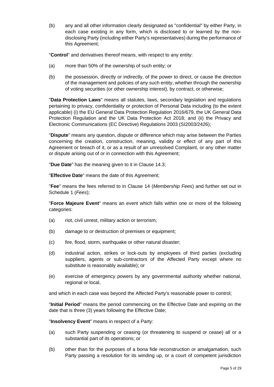(b) any and all other information clearly designated as "confidential" by either Party, in each case existing in any form, which is disclosed to or learned by the nondisclosing Party (including either Party's representatives) during the performance of this Agreement;

"**Control**" and derivatives thereof means, with respect to any entity:

- (a) more than 50% of the ownership of such entity; or
- (b) the possession, directly or indirectly, of the power to direct, or cause the direction of the management and policies of any such entity, whether through the ownership of voting securities (or other ownership interest), by contract, or otherwise;

"**Data Protection Laws**" means all statutes, laws, secondary legislation and regulations pertaining to privacy, confidentiality or protection of Personal Data including (to the extent applicable) (i) the EU General Data Protection Regulation 2016/679, the UK General Data Protection Regulation and the UK Data Protection Act 2018; and (ii) the Privacy and Electronic Communications (EC Directive) Regulations 2003 (SI2003/2426);

"**Dispute**" means any question, dispute or difference which may arise between the Parties concerning the creation, construction, meaning, validity or effect of any part of this Agreement or breach of it, or as a result of an unresolved Complaint, or any other matter or dispute arising out of or in connection with this Agreement;

"**Due Date**" has the meaning given to it in Clause [14.3;](#page-14-2)

"**Effective Date**" means the date of this Agreement;

"**Fee**" means the fees referred to in Clause [14](#page-14-0) (*Membership Fees*) and further set out in [Schedule 1](#page-27-1) (*Fees*);

"**Force Majeure Event**" means an event which falls within one or more of the following categories:

- (a) riot, civil unrest, military action or terrorism;
- (b) damage to or destruction of premises or equipment;
- (c) fire, flood, storm, earthquake or other natural disaster;
- (d) industrial action, strikes or lock-outs by employees of third parties (excluding suppliers, agents or sub-contractors of the Affected Party except where no substitute is reasonably available); or
- (e) exercise of emergency powers by any governmental authority whether national, regional or local,

and which in each case was beyond the Affected Party's reasonable power to control;

"**Initial Period**" means the period commencing on the Effective Date and expiring on the date that is three (3) years following the Effective Date;

"**Insolvency Event**" means in respect of a Party:

- (a) such Party suspending or ceasing (or threatening to suspend or cease) all or a substantial part of its operations; or
- (b) other than for the purposes of a bona fide reconstruction or amalgamation, such Party passing a resolution for its winding up, or a court of competent jurisdiction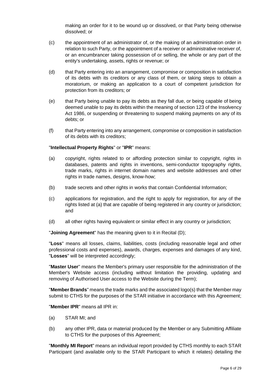making an order for it to be wound up or dissolved, or that Party being otherwise dissolved; or

- (c) the appointment of an administrator of, or the making of an administration order in relation to such Party, or the appointment of a receiver or administrative receiver of, or an encumbrancer taking possession of or selling, the whole or any part of the entity's undertaking, assets, rights or revenue; or
- (d) that Party entering into an arrangement, compromise or composition in satisfaction of its debts with its creditors or any class of them, or taking steps to obtain a moratorium, or making an application to a court of competent jurisdiction for protection from its creditors; or
- (e) that Party being unable to pay its debts as they fall due, or being capable of being deemed unable to pay its debts within the meaning of section 123 of the Insolvency Act 1986, or suspending or threatening to suspend making payments on any of its debts; or
- (f) that Party entering into any arrangement, compromise or composition in satisfaction of its debts with its creditors;

### "**Intellectual Property Rights**" or "**IPR**" means:

- (a) copyright, rights related to or affording protection similar to copyright, rights in databases, patents and rights in inventions, semi-conductor topography rights, trade marks, rights in internet domain names and website addresses and other rights in trade names, designs, know-how;
- (b) trade secrets and other rights in works that contain Confidential Information;
- (c) applications for registration, and the right to apply for registration, for any of the rights listed at (a) that are capable of being registered in any country or jurisdiction; and
- (d) all other rights having equivalent or similar effect in any country or jurisdiction;

"**Joining Agreement**" has the meaning given to it in Recital (D);

"**Loss**" means all losses, claims, liabilities, costs (including reasonable legal and other professional costs and expenses), awards, charges, expenses and damages of any kind, "**Losses**" will be interpreted accordingly;

"**Master User**" means the Member's primary user responsible for the administration of the Member's Website access (including without limitation the providing, updating and removing of Authorised User access to the Website during the Term);

"**Member Brands**" means the trade marks and the associated logo(s) that the Member may submit to CTHS for the purposes of the STAR initiative in accordance with this Agreement;

"**Member IPR**" means all IPR in:

- (a) STAR MI; and
- (b) any other IPR, data or material produced by the Member or any Submitting Affiliate to CTHS for the purposes of this Agreement;

"**Monthly MI Report**" means an individual report provided by CTHS monthly to each STAR Participant (and available only to the STAR Participant to which it relates) detailing the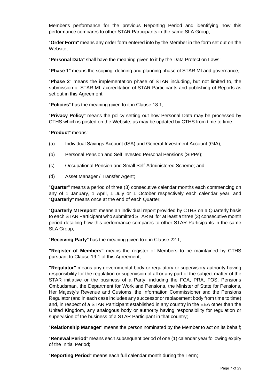Member's performance for the previous Reporting Period and identifying how this performance compares to other STAR Participants in the same SLA Group;

"**Order Form**" means any order form entered into by the Member in the form set out on the Website;

"**Personal Data**" shall have the meaning given to it by the Data Protection Laws;

"**Phase 1**" means the scoping, defining and planning phase of STAR MI and governance;

"**Phase 2**" means the implementation phase of STAR including, but not limited to, the submission of STAR MI, accreditation of STAR Participants and publishing of Reports as set out in this Agreement;

"**Policies**" has the meaning given to it in Clause [18.1;](#page-17-2)

"**Privacy Policy**" means the policy setting out how Personal Data may be processed by CTHS which is posted on the Website, as may be updated by CTHS from time to time;

"**Product**" means:

- (a) Individual Savings Account (ISA) and General Investment Account (GIA);
- (b) Personal Pension and Self invested Personal Pensions (SIPPs);
- (c) Occupational Pension and Small Self-Administered Scheme; and
- (d) Asset Manager / Transfer Agent;

"**Quarter**" means a period of three (3) consecutive calendar months each commencing on any of 1 January, 1 April, 1 July or 1 October respectively each calendar year, and "**Quarterly**" means once at the end of each Quarter;

"**Quarterly MI Report**" means an individual report provided by CTHS on a Quarterly basis to each STAR Participant who submitted STAR MI for at least a three (3) consecutive month period detailing how this performance compares to other STAR Participants in the same SLA Group;

"**Receiving Party**" has the meaning given to it in Clause [22.1;](#page-19-2)

**"Register of Members"** means the register of Members to be maintained by CTHS pursuant to Clause [19.1](#page-17-3) of this Agreement;

**"Regulator"** means any governmental body or regulatory or supervisory authority having responsibility for the regulation or supervision of all or any part of the subject matter of the STAR initiative or the business of a Party, including the FCA, PRA, FOS, Pensions Ombudsman, the Department for Work and Pensions, the Minister of State for Pensions, Her Majesty's Revenue and Customs, the Information Commissioner and the Pensions Regulator (and in each case includes any successor or replacement body from time to time) and, in respect of a STAR Participant established in any country in the EEA other than the United Kingdom, any analogous body or authority having responsibility for regulation or supervision of the business of a STAR Participant in that country;

"**Relationship Manager**" means the person nominated by the Member to act on its behalf;

"**Renewal Period**" means each subsequent period of one (1) calendar year following expiry of the Initial Period;

"**Reporting Period**" means each full calendar month during the Term;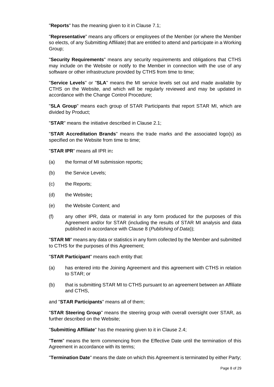"**Reports**" has the meaning given to it in Clause [7.1;](#page-11-2)

"**Representative**" means any officers or employees of the Member (or where the Member so elects, of any Submitting Affiliate) that are entitled to attend and participate in a Working Group;

"**Security Requirements**" means any security requirements and obligations that CTHS may include on the Website or notify to the Member in connection with the use of any software or other infrastructure provided by CTHS from time to time;

"**Service Levels**" or "**SLA**" means the MI service levels set out and made available by CTHS on the Website, and which will be regularly reviewed and may be updated in accordance with the Change Control Procedure;

"**SLA Group**" means each group of STAR Participants that report STAR MI, which are divided by Product;

"**STAR**" means the initiative described in Clause [2.1;](#page-9-2)

"**STAR Accreditation Brands**" means the trade marks and the associated logo(s) as specified on the Website from time to time;

"**STAR IPR**" means all IPR in**:**

- (a) the format of MI submission reports**;**
- (b) the Service Levels;
- (c) the Reports;
- (d) the Website**;**
- (e) the Website Content; and
- (f) any other IPR, data or material in any form produced for the purposes of this Agreement and/or for STAR (including the results of STAR MI analysis and data published in accordance with Clause [8](#page-11-1) (*Publishing of Data*));

"**STAR MI**" means any data or statistics in any form collected by the Member and submitted to CTHS for the purposes of this Agreement;

"**STAR Participant**" means each entity that:

- (a) has entered into the Joining Agreement and this agreement with CTHS in relation to STAR; or
- (b) that is submitting STAR MI to CTHS pursuant to an agreement between an Affiliate and CTHS,

and "**STAR Participants**" means all of them;

"**STAR Steering Group**" means the steering group with overall oversight over STAR, as further described on the Website;

"**Submitting Affiliate**" has the meaning given to it in Clause [2.4;](#page-9-3)

"**Term**" means the term commencing from the Effective Date until the termination of this Agreement in accordance with its terms;

"**Termination Date**" means the date on which this Agreement is terminated by either Party;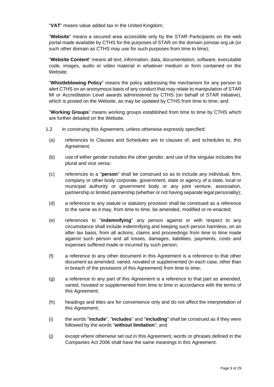"**VAT**" means value added tax in the United Kingdom;

"**Website**" means a secured area accessible only by the STAR Participants on the web portal made available by CTHS for the purposes of STAR on the domain joinstar.org.uk (or such other domain as CTHS may use for such purposes from time to time);

"**Website Content**" means all text, information, data, documentation, software, executable code, images, audio or video material in whatever medium or form contained on the Website;

"**Whistleblowing Policy**" means the policy addressing the mechanism for any person to alert CTHS on an anonymous basis of any conduct that may relate to manipulation of STAR MI or Accreditation Level awards administered by CTHS (on behalf of STAR initiative), which is posted on the Website, as may be updated by CTHS from time to time; and

"**Working Groups**" means working groups established from time to time by CTHS which are further detailed on the Website.

- 1.2 In construing this Agreement, unless otherwise expressly specified:
	- (a) references to Clauses and Schedules are to clauses of, and schedules to, this Agreement;
- (b) use of either gender includes the other gender, and use of the singular includes the plural and vice versa;
- (c) references to a "**person**" shall be construed so as to include any individual, firm, company or other body corporate, government, state or agency of a state, local or municipal authority or government body or any joint venture, association, partnership or limited partnership (whether or not having separate legal personality);
- (d) a reference to any statute or statutory provision shall be construed as a reference to the same as it may, from time to time, be amended, modified or re-enacted;
- (e) references to "**indemnifying**" any person against or with respect to any circumstance shall include indemnifying and keeping such person harmless, on an after tax basis, from all actions, claims and proceedings from time to time made against such person and all losses, damages, liabilities, payments, costs and expenses suffered made or incurred by such person;
- (f) a reference to any other document in this Agreement is a reference to that other document as amended, varied, novated or supplemented (in each case, other than in breach of the provisions of this Agreement) from time to time;
- (g) a reference to any part of this Agreement is a reference to that part as amended, varied, novated or supplemented from time to time in accordance with the terms of this Agreement;
- (h) headings and titles are for convenience only and do not affect the interpretation of this Agreement;
- (i) the words "**include**", "**includes**" and "**including**" shall be construed as if they were followed by the words "**without limitation**"; and
- (j) except where otherwise set out in this Agreement, words or phrases defined in the Companies Act 2006 shall have the same meanings in this Agreement.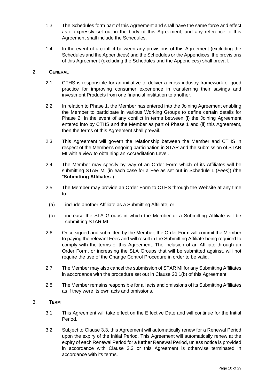- 1.3 The Schedules form part of this Agreement and shall have the same force and effect as if expressly set out in the body of this Agreement, and any reference to this Agreement shall include the Schedules.
- 1.4 In the event of a conflict between any provisions of this Agreement (excluding the Schedules and the Appendices) and the Schedules or the Appendices, the provisions of this Agreement (excluding the Schedules and the Appendices) shall prevail.

## <span id="page-9-2"></span><span id="page-9-0"></span>2. **GENERAL**

- 2.1 CTHS is responsible for an initiative to deliver a cross-industry framework of good practice for improving consumer experience in transferring their savings and investment Products from one financial institution to another.
- 2.2 In relation to Phase 1, the Member has entered into the Joining Agreement enabling the Member to participate in various Working Groups to define certain details for Phase 2. In the event of any conflict in terms between (i) the Joining Agreement entered into by CTHS and the Member as part of Phase 1 and (ii) this Agreement, then the terms of this Agreement shall prevail.
- 2.3 This Agreement will govern the relationship between the Member and CTHS in respect of the Member's ongoing participation in STAR and the submission of STAR MI with a view to obtaining an Accreditation Level.
- <span id="page-9-3"></span>2.4 The Member may specify by way of an Order Form which of its Affiliates will be submitting STAR MI (in each case for a Fee as set out in [Schedule 1](#page-27-1) (*Fees*)) (the "**Submitting Affiliates**").
- 2.5 The Member may provide an Order Form to CTHS through the Website at any time to:
	- (a) include another Affiliate as a Submitting Affiliate; or
- (b) increase the SLA Groups in which the Member or a Submitting Affiliate will be submitting STAR MI.
- 2.6 Once signed and submitted by the Member, the Order Form will commit the Member to paying the relevant Fees and will result in the Submitting Affiliate being required to comply with the terms of this Agreement. The inclusion of an Affiliate through an Order Form, or increasing the SLA Groups that will be submitted against, will not require the use of the Change Control Procedure in order to be valid.
- 2.7 The Member may also cancel the submission of STAR MI for any Submitting Affiliates in accordance with the procedure set out in Clause [20.1\(b\)](#page-18-1) of this Agreement.
- 2.8 The Member remains responsible for all acts and omissions of its Submitting Affiliates as if they were its own acts and omissions.

### <span id="page-9-1"></span>3. **TERM**

- 3.1 This Agreement will take effect on the Effective Date and will continue for the Initial Period.
- 3.2 Subject to Clause [3.3,](#page-10-4) this Agreement will automatically renew for a Renewal Period upon the expiry of the Initial Period. This Agreement will automatically renew at the expiry of each Renewal Period for a further Renewal Period, unless notice is provided in accordance with Clause [3.3](#page-10-4) or this Agreement is otherwise terminated in accordance with its terms.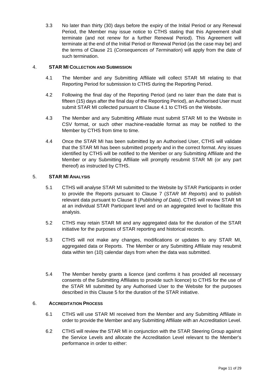<span id="page-10-4"></span>3.3 No later than thirty (30) days before the expiry of the Initial Period or any Renewal Period, the Member may issue notice to CTHS stating that this Agreement shall terminate (and not renew for a further Renewal Period). This Agreement will terminate at the end of the Initial Period or Renewal Period (as the case may be) and the terms of Clause [21](#page-19-0) (*Consequences of Termination*) will apply from the date of such termination.

## <span id="page-10-5"></span><span id="page-10-0"></span>4. **STAR MI COLLECTION AND SUBMISSION**

- 4.1 The Member and any Submitting Affiliate will collect STAR MI relating to that Reporting Period for submission to CTHS during the Reporting Period.
- 4.2 Following the final day of the Reporting Period (and no later than the date that is fifteen (15) days after the final day of the Reporting Period), an Authorised User must submit STAR MI collected pursuant to Clause [4.1](#page-10-5) to CTHS on the Website.
- 4.3 The Member and any Submitting Affiliate must submit STAR MI to the Website in CSV format, or such other machine-readable format as may be notified to the Member by CTHS from time to time.
- 4.4 Once the STAR MI has been submitted by an Authorised User, CTHS will validate that the STAR MI has been submitted properly and in the correct format. Any issues identified by CTHS will be notified to the Member or any Submitting Affiliate and the Member or any Submitting Affiliate will promptly resubmit STAR MI (or any part thereof) as instructed by CTHS.

## <span id="page-10-1"></span>5. **STAR MI ANALYSIS**

- 5.1 CTHS will analyse STAR MI submitted to the Website by STAR Participants in order to provide the Reports pursuant to Clause [7](#page-11-0) (*STAR MI Reports*) and to publish relevant data pursuant to Clause [8](#page-11-1) (*Publishing of Data*). CTHS will review STAR MI at an individual STAR Participant level and on an aggregated level to facilitate this analysis.
- 5.2 CTHS may retain STAR MI and any aggregated data for the duration of the STAR initiative for the purposes of STAR reporting and historical records.
- 5.3 CTHS will not make any changes, modifications or updates to any STAR MI, aggregated data or Reports. The Member or any Submitting Affiliate may resubmit data within ten (10) calendar days from when the data was submitted.
- 5.4 The Member hereby grants a licence (and confirms it has provided all necessary consents of the Submitting Affiliates to provide such licence) to CTHS for the use of the STAR MI submitted by any Authorised User to the Website for the purposes described in this Clause [5](#page-10-1) for the duration of the STAR initiative.

### <span id="page-10-2"></span>6. **ACCREDITATION PROCESS**

- 6.1 CTHS will use STAR MI received from the Member and any Submitting Affiliate in order to provide the Member and any Submitting Affiliate with an Accreditation Level.
- <span id="page-10-3"></span>6.2 CTHS will review the STAR MI in conjunction with the STAR Steering Group against the Service Levels and allocate the Accreditation Level relevant to the Member's performance in order to either: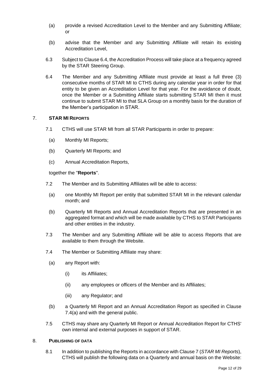- (a) provide a revised Accreditation Level to the Member and any Submitting Affiliate; or
- (b) advise that the Member and any Submitting Affiliate will retain its existing Accreditation Level,
- 6.3 Subject to Clause [6.4,](#page-11-3) the Accreditation Process will take place at a frequency agreed by the STAR Steering Group.
- <span id="page-11-3"></span>6.4 The Member and any Submitting Affiliate must provide at least a full three (3) consecutive months of STAR MI to CTHS during any calendar year in order for that entity to be given an Accreditation Level for that year. For the avoidance of doubt, once the Member or a Submitting Affiliate starts submitting STAR MI then it must continue to submit STAR MI to that SLA Group on a monthly basis for the duration of the Member's participation in STAR.

### <span id="page-11-2"></span><span id="page-11-0"></span>7. **STAR MI REPORTS**

- 7.1 CTHS will use STAR MI from all STAR Participants in order to prepare:
	- (a) Monthly MI Reports;
	- (b) Quarterly MI Reports; and
	- (c) Annual Accreditation Reports,

### together the "**Reports**".

- <span id="page-11-6"></span>7.2 The Member and its Submitting Affiliates will be able to access:
- (a) one Monthly MI Report per entity that submitted STAR MI in the relevant calendar month; and
- (b) Quarterly MI Reports and Annual Accreditation Reports that are presented in an aggregated format and which will be made available by CTHS to STAR Participants and other entities in the industry.
- 7.3 The Member and any Submitting Affiliate will be able to access Reports that are available to them through the Website.
- <span id="page-11-4"></span>7.4 The Member or Submitting Affiliate may share:
	- (a) any Report with:
		- (i) its Affiliates;
		- (ii) any employees or officers of the Member and its Affiliates;
		- (iii) any Regulator; and
	- (b) a Quarterly MI Report and an Annual Accreditation Report as specified in Clause [7.4\(a\)](#page-11-4) and with the general public.
- 7.5 CTHS may share any Quarterly MI Report or Annual Accreditation Report for CTHS' own internal and external purposes in support of STAR.

### <span id="page-11-5"></span><span id="page-11-1"></span>8. **PUBLISHING OF DATA**

8.1 In addition to publishing the Reports in accordance with Claus[e 7](#page-11-0) (*STAR MI Reports*), CTHS will publish the following data on a Quarterly and annual basis on the Website: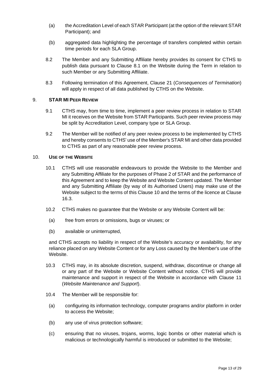- (a) the Accreditation Level of each STAR Participant (at the option of the relevant STAR Participant); and
- (b) aggregated data highlighting the percentage of transfers completed within certain time periods for each SLA Group.
- 8.2 The Member and any Submitting Affiliate hereby provides its consent for CTHS to publish data pursuant to Clause [8.1](#page-11-5) on the Website during the Term in relation to such Member or any Submitting Affiliate.
- 8.3 Following termination of this Agreement, Clause [21](#page-19-0) (*Consequences of Termination*) will apply in respect of all data published by CTHS on the Website.

### <span id="page-12-0"></span>9. **STAR MI PEER REVIEW**

- 9.1 CTHS may, from time to time, implement a peer review process in relation to STAR MI it receives on the Website from STAR Participants. Such peer review process may be split by Accreditation Level, company type or SLA Group.
- 9.2 The Member will be notified of any peer review process to be implemented by CTHS and hereby consents to CTHS' use of the Member's STAR MI and other data provided to CTHS as part of any reasonable peer review process.

#### <span id="page-12-1"></span>10. **USE OF THE WEBSITE**

- 10.1 CTHS will use reasonable endeavours to provide the Website to the Member and any Submitting Affiliate for the purposes of Phase 2 of STAR and the performance of this Agreement and to keep the Website and Website Content updated. The Member and any Submitting Affiliate (by way of its Authorised Users) may make use of the Website subject to the terms of this Clause [10](#page-12-1) and the terms of the licence at Clause [16.3.](#page-16-1)
- 10.2 CTHS makes no guarantee that the Website or any Website Content will be:
- (a) free from errors or omissions, bugs or viruses; or
- (b) available or uninterrupted,

and CTHS accepts no liability in respect of the Website's accuracy or availability, for any reliance placed on any Website Content or for any Loss caused by the Member's use of the Website.

- 10.3 CTHS may, in its absolute discretion, suspend, withdraw, discontinue or change all or any part of the Website or Website Content without notice. CTHS will provide maintenance and support in respect of the Website in accordance with Clause [11](#page-13-0) (*Website Maintenance and Support*).
- 10.4 The Member will be responsible for:
- (a) configuring its information technology, computer programs and/or platform in order to access the Website;
- (b) any use of virus protection software;
- (c) ensuring that no viruses, trojans, worms, logic bombs or other material which is malicious or technologically harmful is introduced or submitted to the Website;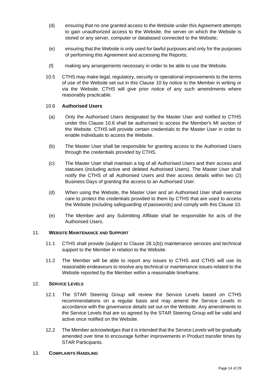- (d) ensuring that no one granted access to the Website under this Agreement attempts to gain unauthorized access to the Website, the server on which the Website is stored or any server, computer or databased connected to the Website;
- (e) ensuring that the Website is only used for lawful purposes and only for the purposes of performing this Agreement and accessing the Reports;
- (f) making any arrangements necessary in order to be able to use the Website.
- 10.5 CTHS may make legal, regulatory, security or operational improvements to the terms of use of the Website set out in this Clause [10](#page-12-1) by notice to the Member in writing or via the Website. CTHS will give prior notice of any such amendments where reasonably practicable.

### <span id="page-13-2"></span>10.6 **Authorised Users**

- (a) Only the Authorised Users designated by the Master User and notified to CTHS under this Clause [10.6](#page-13-2) shall be authorised to access the Member's MI section of the Website. CTHS will provide certain credentials to the Master User in order to enable individuals to access the Website.
- (b) The Master User shall be responsible for granting access to the Authorised Users through the credentials provided by CTHS.
- (c) The Master User shall maintain a log of all Authorised Users and their access and statuses (including active and deleted Authorised Users). The Master User shall notify the CTHS of all Authorised Users and their access details within two (2) Business Days of granting the access to an Authorised User.
- (d) When using the Website, the Master User and an Authorised User shall exercise care to protect the credentials provided to them by CTHS that are used to access the Website (including safeguarding of passwords) and comply with this Clause [10.](#page-12-1)
- (e) The Member and any Submitting Affiliate shall be responsible for acts of the Authorised Users.

### <span id="page-13-0"></span>11. **WEBSITE MAINTENANCE AND SUPPORT**

- 11.1 CTHS shall provide (subject to Clause [28.1\(b\)\)](#page-23-1) maintenance services and technical support to the Member in relation to the Website.
- 11.2 The Member will be able to report any issues to CTHS and CTHS will use its reasonable endeavours to resolve any technical or maintenance issues related to the Website reported by the Member within a reasonable timeframe.

### <span id="page-13-1"></span>12. **SERVICE LEVELS**

- 12.1 The STAR Steering Group will review the Service Levels based on CTHS recommendations on a regular basis and may amend the Service Levels in accordance with the governance details set out on the Website. Any amendments to the Service Levels that are so agreed by the STAR Steering Group will be valid and active once notified on the Website.
- 12.2 The Member acknowledges that it is intended that the Service Levels will be gradually amended over time to encourage further improvements in Product transfer times by STAR Participants.

#### <span id="page-13-3"></span>13. **COMPLAINTS HANDLING**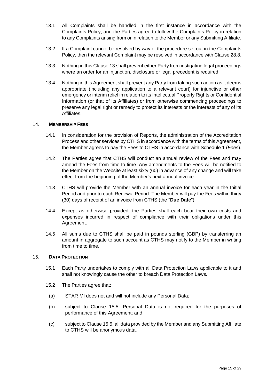- 13.1 All Complaints shall be handled in the first instance in accordance with the Complaints Policy, and the Parties agree to follow the Complaints Policy in relation to any Complaints arising from or in relation to the Member or any Submitting Affiliate.
- 13.2 If a Complaint cannot be resolved by way of the procedure set out in the Complaints Policy, then the relevant Complaint may be resolved in accordance with Clause [28.8.](#page-25-0)
- 13.3 Nothing in this Clause [13](#page-13-3) shall prevent either Party from instigating legal proceedings where an order for an injunction, disclosure or legal precedent is required.
- 13.4 Nothing in this Agreement shall prevent any Party from taking such action as it deems appropriate (including any application to a relevant court) for injunctive or other emergency or interim relief in relation to its Intellectual Property Rights or Confidential Information (or that of its Affiliates) or from otherwise commencing proceedings to preserve any legal right or remedy to protect its interests or the interests of any of its Affiliates.

### <span id="page-14-0"></span>14. **MEMBERSHIP FEES**

- 14.1 In consideration for the provision of Reports, the administration of the Accreditation Process and other services by CTHS in accordance with the terms of this Agreement, the Member agrees to pay the Fees to CTHS in accordance with [Schedule 1](#page-27-1) (*Fees*).
- 14.2 The Parties agree that CTHS will conduct an annual review of the Fees and may amend the Fees from time to time. Any amendments to the Fees will be notified to the Member on the Website at least sixty (60) in advance of any change and will take effect from the beginning of the Member's next annual invoice.
- <span id="page-14-2"></span>14.3 CTHS will provide the Member with an annual invoice for each year in the Initial Period and prior to each Renewal Period. The Member will pay the Fees within thirty (30) days of receipt of an invoice from CTHS (the "**Due Date**").
- 14.4 Except as otherwise provided, the Parties shall each bear their own costs and expenses incurred in respect of compliance with their obligations under this Agreement.
- 14.5 All sums due to CTHS shall be paid in pounds sterling (GBP) by transferring an amount in aggregate to such account as CTHS may notify to the Member in writing from time to time.

#### <span id="page-14-1"></span>15. **DATA PROTECTION**

- 15.1 Each Party undertakes to comply with all Data Protection Laws applicable to it and shall not knowingly cause the other to breach Data Protection Laws.
- 15.2 The Parties agree that:
	- (a) STAR MI does not and will not include any Personal Data;
	- (b) subject to Clause [15.5,](#page-15-1) Personal Data is not required for the purposes of performance of this Agreement; and
	- (c) subject to Claus[e 15.5,](#page-15-1) all data provided by the Member and any Submitting Affiliate to CTHS will be anonymous data.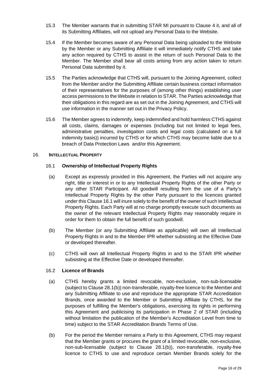- 15.3 The Member warrants that in submitting STAR MI pursuant to Clause [4](#page-10-0) it, and all of its Submitting Affiliates, will not upload any Personal Data to the Website.
- 15.4 If the Member becomes aware of any Personal Data being uploaded to the Website by the Member or any Submitting Affiliate it will immediately notify CTHS and take any action required by CTHS to assist in the return of such Personal Data to the Member. The Member shall bear all costs arising from any action taken to return Personal Data submitted by it.
- <span id="page-15-1"></span>15.5 The Parties acknowledge that CTHS will, pursuant to the Joining Agreement, collect from the Member and/or the Submitting Affiliate certain business contact information of their representatives for the purposes of (among other things) establishing user access permissions to the Website in relation to STAR. The Parties acknowledge that their obligations in this regard are as set out in the Joining Agreement, and CTHS will use information in the manner set out in the Privacy Policy.
- <span id="page-15-4"></span>15.6 The Member agrees to indemnify, keep indemnified and hold harmless CTHS against all costs, claims, damages or expenses (including but not limited to legal fees, administrative penalties, investigation costs and legal costs (calculated on a full indemnity basis)) incurred by CTHS or for which CTHS may become liable due to a breach of Data Protection Laws and/or this Agreement.

### <span id="page-15-2"></span><span id="page-15-0"></span>16. **INTELLECTUAL PROPERTY**

### 16.1 **Ownership of Intellectual Property Rights**

- (a) Except as expressly provided in this Agreement, the Parties will not acquire any right, title or interest in or to any Intellectual Property Rights of the other Party or any other STAR Participant. All goodwill resulting from the use of a Party's Intellectual Property Rights by the other Party pursuant to the licences granted under this Clause [16.1](#page-15-2) will inure solely to the benefit of the owner of such Intellectual Property Rights. Each Party will at no charge promptly execute such documents as the owner of the relevant Intellectual Property Rights may reasonably require in order for them to obtain the full benefit of such goodwill.
- <span id="page-15-3"></span>(b) The Member (or any Submitting Affiliate as applicable) will own all Intellectual Property Rights in and to the Member IPR whether subsisting at the Effective Date or developed thereafter.
- (c) CTHS will own all Intellectual Property Rights in and to the STAR IPR whether subsisting at the Effective Date or developed thereafter.

### 16.2 **Licence of Brands**

- (a) CTHS hereby grants a limited revocable, non-exclusive, non-sub-licensable (subject to Clause [28.1\(b\)\)](#page-23-1) non-transferable, royalty-free licence to the Member and any Submitting Affiliate to use and reproduce the appropriate STAR Accreditation Brands, once awarded to the Member or Submitting Affiliate by CTHS, for the purposes of fulfilling the Member's obligations, exercising its rights in performing this Agreement and publicising its participation in Phase 2 of STAR (including without limitation the publication of the Member's Accreditation Level from time to time) subject to the STAR Accreditation Brands Terms of Use.
- (b) For the period the Member remains a Party to this Agreement, CTHS may request that the Member grants or procures the grant of a limited revocable, non-exclusive, non-sub-licensable (subject to Clause [28.1\(b\)\)](#page-23-1), non-transferable, royalty-free licence to CTHS to use and reproduce certain Member Brands solely for the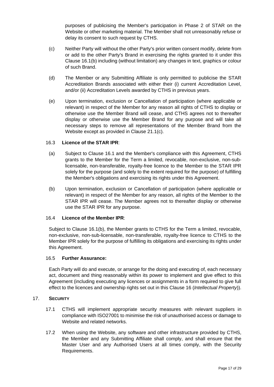purposes of publicising the Member's participation in Phase 2 of STAR on the Website or other marketing material. The Member shall not unreasonably refuse or delay its consent to such request by CTHS.

- (c) Neither Party will without the other Party's prior written consent modify, delete from or add to the other Party's Brand in exercising the rights granted to it under this Clause [16.1\(b\)](#page-15-3) including (without limitation) any changes in text, graphics or colour of such Brand.
- (d) The Member or any Submitting Affiliate is only permitted to publicise the STAR Accreditation Brands associated with either their (i) current Accreditation Level, and/or (ii) Accreditation Levels awarded by CTHS in previous years.
- (e) Upon termination, exclusion or Cancellation of participation (where applicable or relevant) in respect of the Member for any reason all rights of CTHS to display or otherwise use the Member Brand will cease, and CTHS agrees not to thereafter display or otherwise use the Member Brand for any purpose and will take all necessary steps to remove all representations of the Member Brand from the Website except as provided in Clause [21.1\(c\).](#page-19-3)

## <span id="page-16-1"></span>16.3 **Licence of the STAR IPR**:

- (a) Subject to Clause [16.1](#page-15-2) and the Member's compliance with this Agreement, CTHS grants to the Member for the Term a limited, revocable, non-exclusive, non-sublicensable, non-transferable, royalty-free licence to the Member to the STAR IPR solely for the purpose (and solely to the extent required for the purpose) of fulfilling the Member's obligations and exercising its rights under this Agreement.
- (b) Upon termination, exclusion or Cancellation of participation (where applicable or relevant) in respect of the Member for any reason, all rights of the Member to the STAR IPR will cease. The Member agrees not to thereafter display or otherwise use the STAR IPR for any purpose.

### 16.4 **Licence of the Member IPR**:

Subject to Clause [16.1\(b\),](#page-15-3) the Member grants to CTHS for the Term a limited, revocable, non-exclusive, non-sub-licensable, non-transferable, royalty-free licence to CTHS to the Member IPR solely for the purpose of fulfilling its obligations and exercising its rights under this Agreement.

### 16.5 **Further Assurance:**

Each Party will do and execute, or arrange for the doing and executing of, each necessary act, document and thing reasonably within its power to implement and give effect to this Agreement (including executing any licences or assignments in a form required to give full effect to the licences and ownership rights set out in this Clause [16](#page-15-0) (*Intellectual Property*)).

### <span id="page-16-0"></span>17. **SECURITY**

- 17.1 CTHS will implement appropriate security measures with relevant suppliers in compliance with ISO27001 to minimise the risk of unauthorised access or damage to Website and related networks.
- 17.2 When using the Website, any software and other infrastructure provided by CTHS, the Member and any Submitting Affiliate shall comply, and shall ensure that the Master User and any Authorised Users at all times comply, with the Security Requirements.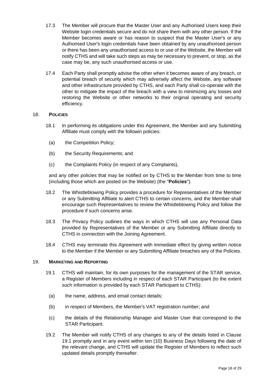- 17.3 The Member will procure that the Master User and any Authorised Users keep their Website login credentials secure and do not share them with any other person. If the Member becomes aware or has reason to suspect that the Master User's or any Authorised User's login credentials have been obtained by any unauthorised person or there has been any unauthorised access to or use of the Website, the Member will notify CTHS and will take such steps as may be necessary to prevent, or stop, as the case may be, any such unauthorised access or use.
- 17.4 Each Party shall promptly advise the other when it becomes aware of any breach, or potential breach of security which may adversely affect the Website, any software and other infrastructure provided by CTHS, and each Party shall co-operate with the other to mitigate the impact of the breach with a view to minimizing any losses and restoring the Website or other networks to their original operating and security efficiency.

### <span id="page-17-2"></span><span id="page-17-0"></span>18. **POLICIES**

- 18.1 In performing its obligations under this Agreement, the Member and any Submitting Affiliate must comply with the followin policies:
	- (a) the Competition Policy;
	- (b) the Security Requirements; and
	- (c) the Complaints Policy (in respect of any Complaints),

and any other policies that may be notified on by CTHS to the Member from time to time (including those which are posted on the Website) (the "**Policies**").

- 18.2 The Whistleblowing Policy provides a procedure for Representatives of the Member or any Submitting Affiliate to alert CTHS to certain concerns, and the Member shall encourage such Representatives to review the Whistleblowing Policy and follow the procedure if such concerns arise.
- 18.3 The Privacy Policy outlines the ways in which CTHS will use any Personal Data provided by Representatives of the Member or any Submitting Affiliate directly to CTHS in connection with the Joining Agreement.
- 18.4 CTHS may terminate this Agreement with immediate effect by giving written notice to the Member if the Member or any Submitting Affiliate breaches any of the Policies.

#### <span id="page-17-3"></span><span id="page-17-1"></span>19. **MARKETING AND REPORTING**

- 19.1 CTHS will maintain, for its own purposes for the management of the STAR service, a Register of Members including in respect of each STAR Participant (to the extent such information is provided by each STAR Participant to CTHS):
	- (a) the name, address, and email contact details;
	- (b) in respect of Members, the Member's VAT registration number; and
	- (c) the details of the Relationship Manager and Master User that correspond to the STAR Participant.
- 19.2 The Member will notify CTHS of any changes to any of the details listed in Clause [19.1](#page-17-3) promptly and in any event within ten (10) Business Days following the date of the relevant change, and CTHS will update the Register of Members to reflect such updated details promptly thereafter.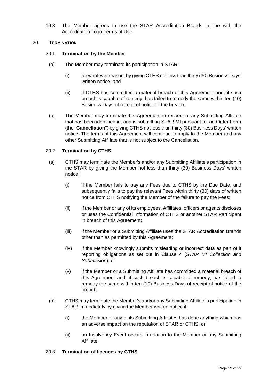19.3 The Member agrees to use the STAR Accreditation Brands in line with the Accreditation Logo Terms of Use.

### <span id="page-18-3"></span><span id="page-18-0"></span>20. **TERMINATION**

### 20.1 **Termination by the Member**

- (a) The Member may terminate its participation in STAR:
	- (i) for whatever reason, by giving CTHS not less than thirty (30) Business Days' written notice; and
	- (ii) if CTHS has committed a material breach of this Agreement and, if such breach is capable of remedy, has failed to remedy the same within ten (10) Business Days of receipt of notice of the breach.
- <span id="page-18-2"></span><span id="page-18-1"></span>(b) The Member may terminate this Agreement in respect of any Submitting Affiliate that has been identified in, and is submitting STAR MI pursuant to, an Order Form (the "**Cancellation**") by giving CTHS not less than thirty (30) Business Days' written notice. The terms of this Agreement will continue to apply to the Member and any other Submitting Affiliate that is not subject to the Cancellation.

## 20.2 **Termination by CTHS**

- (a) CTHS may terminate the Member's and/or any Submitting Affiliate's participation in the STAR by giving the Member not less than thirty (30) Business Days' written notice:
	- (i) if the Member fails to pay any Fees due to CTHS by the Due Date, and subsequently fails to pay the relevant Fees within thirty (30) days of written notice from CTHS notifying the Member of the failure to pay the Fees;
	- (ii) if the Member or any of its employees, Affiliates, officers or agents discloses or uses the Confidential Information of CTHS or another STAR Participant in breach of this Agreement;
	- (iii) if the Member or a Submitting Affiliate uses the STAR Accreditation Brands other than as permitted by this Agreement;
	- (iv) if the Member knowingly submits misleading or incorrect data as part of it reporting obligations as set out in Clause [4](#page-10-0) (*STAR MI Collection and Submission*); or
	- (v) if the Member or a Submitting Affiliate has committed a material breach of this Agreement and, if such breach is capable of remedy, has failed to remedy the same within ten (10) Business Days of receipt of notice of the breach.
- (b) CTHS may terminate the Member's and/or any Submitting Affiliate's participation in STAR immediately by giving the Member written notice if:
	- (i) the Member or any of its Submitting Affiliates has done anything which has an adverse impact on the reputation of STAR or CTHS; or
	- (ii) an Insolvency Event occurs in relation to the Member or any Submitting Affiliate.

### 20.3 **Termination of licences by CTHS**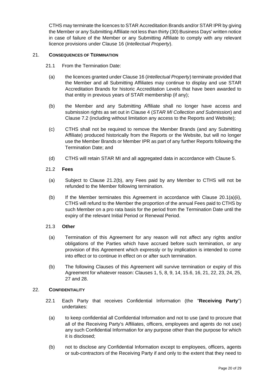CTHS may terminate the licences to STAR Accreditation Brands and/or STAR IPR by giving the Member or any Submitting Affiliate not less than thirty (30) Business Days' written notice in case of failure of the Member or any Submitting Affiliate to comply with any relevant licence provisions under Clause [16](#page-15-0) (*Intellectual Property*).

### <span id="page-19-0"></span>21. **CONSEQUENCES OF TERMINATION**

- 21.1 From the Termination Date:
- (a) the licences granted under Clause [16](#page-15-0) (*Intellectual Property*) terminate provided that the Member and all Submitting Affiliates may continue to display and use STAR Accreditation Brands for historic Accreditation Levels that have been awarded to that entity in previous years of STAR membership (if any);
- (b) the Member and any Submitting Affiliate shall no longer have access and submission rights as set out in Clause [4](#page-10-0) (*STAR MI Collection and Submission*) and Clause [7.2](#page-11-6) (including without limitation any access to the Reports and Website);
- <span id="page-19-3"></span>(c) CTHS shall not be required to remove the Member Brands (and any Submitting Affiliate) produced historically from the Reports or the Website, but will no longer use the Member Brands or Member IPR as part of any further Reports following the Termination Date; and
- (d) CTHS will retain STAR MI and all aggregated data in accordance with Clause [5.](#page-10-1)

#### 21.2 **Fees**

- (a) Subject to Clause [21.2\(b\),](#page-19-4) any Fees paid by any Member to CTHS will not be refunded to the Member following termination.
- <span id="page-19-4"></span>(b) If the Member terminates this Agreement in accordance with Clause  $20.1(a)(ii)$ , CTHS will refund to the Member the proportion of the annual Fees paid to CTHS by such Member on a pro rata basis for the period from the Termination Date until the expiry of the relevant Initial Period or Renewal Period.

### 21.3 **Other**

- (a) Termination of this Agreement for any reason will not affect any rights and/or obligations of the Parties which have accrued before such termination, or any provision of this Agreement which expressly or by implication is intended to come into effect or to continue in effect on or after such termination.
- (b) The following Clauses of this Agreement will survive termination or expiry of this Agreement for whatever reason: Clauses [1,](#page-2-0) [5,](#page-10-1) [8,](#page-11-1) [9,](#page-12-0) [14,](#page-14-0) [15.6,](#page-15-4) [16,](#page-15-0) [21,](#page-19-0) [22,](#page-19-1) [23,](#page-20-0) [24,](#page-20-1) [25,](#page-21-0) [27](#page-22-0) and [28.](#page-23-0)

### <span id="page-19-2"></span><span id="page-19-1"></span>22. **CONFIDENTIALITY**

- <span id="page-19-5"></span>22.1 Each Party that receives Confidential Information (the "**Receiving Party**") undertakes:
	- (a) to keep confidential all Confidential Information and not to use (and to procure that all of the Receiving Party's Affiliates, officers, employees and agents do not use) any such Confidential Information for any purpose other than the purpose for which it is disclosed;
	- (b) not to disclose any Confidential Information except to employees, officers, agents or sub-contractors of the Receiving Party if and only to the extent that they need to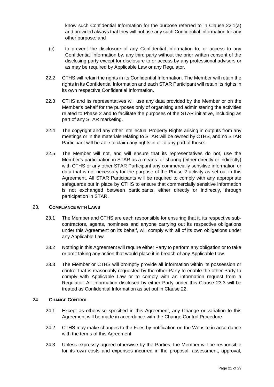know such Confidential Information for the purpose referred to in Clause [22.1](#page-19-2)[\(a\)](#page-19-5) and provided always that they will not use any such Confidential Information for any other purpose; and

- (c) to prevent the disclosure of any Confidential Information to, or access to any Confidential Information by, any third party without the prior written consent of the disclosing party except for disclosure to or access by any professional advisers or as may be required by Applicable Law or any Regulator.
- 22.2 CTHS will retain the rights in its Confidential Information. The Member will retain the rights in its Confidential Information and each STAR Participant will retain its rights in its own respective Confidential Information.
- 22.3 CTHS and its representatives will use any data provided by the Member or on the Member's behalf for the purposes only of organising and administering the activities related to Phase 2 and to facilitate the purposes of the STAR initiative, including as part of any STAR marketing.
- 22.4 The copyright and any other Intellectual Property Rights arising in outputs from any meetings or in the materials relating to STAR will be owned by CTHS, and no STAR Participant will be able to claim any rights in or to any part of those.
- 22.5 The Member will not, and will ensure that its representatives do not, use the Member's participation in STAR as a means for sharing (either directly or indirectly) with CTHS or any other STAR Participant any commercially sensitive information or data that is not necessary for the purpose of the Phase 2 activity as set out in this Agreement. All STAR Participants will be required to comply with any appropriate safeguards put in place by CTHS to ensure that commercially sensitive information is not exchanged between participants, either directly or indirectly, through participation in STAR.

### <span id="page-20-0"></span>23. **COMPLIANCE WITH LAWS**

- 23.1 The Member and CTHS are each responsible for ensuring that it, its respective subcontractors, agents, nominees and anyone carrying out its respective obligations under this Agreement on its behalf, will comply with all of its own obligations under any Applicable Law.
- 23.2 Nothing in this Agreement will require either Party to perform any obligation or to take or omit taking any action that would place it in breach of any Applicable Law.
- <span id="page-20-2"></span>23.3 The Member or CTHS will promptly provide all information within its possession or control that is reasonably requested by the other Party to enable the other Party to comply with Applicable Law or to comply with an information request from a Regulator. All information disclosed by either Party under this Clause [23.3](#page-20-2) will be treated as Confidential Information as set out in Clause [22.](#page-19-1)

### <span id="page-20-1"></span>24. **CHANGE CONTROL**

- 24.1 Except as otherwise specified in this Agreement, any Change or variation to this Agreement will be made in accordance with the Change Control Procedure.
- 24.2 CTHS may make changes to the Fees by notification on the Website in accordance with the terms of this Agreement.
- 24.3 Unless expressly agreed otherwise by the Parties, the Member will be responsible for its own costs and expenses incurred in the proposal, assessment, approval,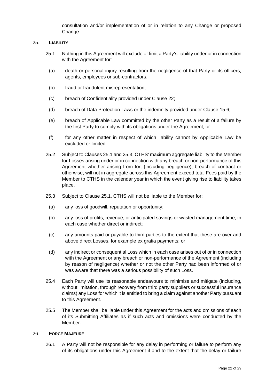consultation and/or implementation of or in relation to any Change or proposed Change.

## <span id="page-21-2"></span><span id="page-21-0"></span>25. **LIABILITY**

- 25.1 Nothing in this Agreement will exclude or limit a Party's liability under or in connection with the Agreement for:
	- (a) death or personal injury resulting from the negligence of that Party or its officers, agents, employees or sub-contractors;
	- (b) fraud or fraudulent misrepresentation;
	- (c) breach of Confidentiality provided under Clause 22;
	- (d) breach of Data Protection Laws or the indemnity provided under Clause [15.6;](#page-15-4)
	- (e) breach of Applicable Law committed by the other Party as a result of a failure by the first Party to comply with its obligations under the Agreement; or
	- (f) for any other matter in respect of which liability cannot by Applicable Law be excluded or limited.
- 25.2 Subject to Clauses [25.1](#page-21-2) and [25.3,](#page-21-3) CTHS' maximum aggregate liability to the Member for Losses arising under or in connection with any breach or non-performance of this Agreement whether arising from tort (including negligence), breach of contract or otherwise, will not in aggregate across this Agreement exceed total Fees paid by the Member to CTHS in the calendar year in which the event giving rise to liability takes place.
- <span id="page-21-3"></span>25.3 Subject to Clause [25.1,](#page-21-2) CTHS will not be liable to the Member for:
	- (a) any loss of goodwill, reputation or opportunity;
	- (b) any loss of profits, revenue, or anticipated savings or wasted management time, in each case whether direct or indirect;
	- (c) any amounts paid or payable to third parties to the extent that these are over and above direct Losses, for example ex gratia payments; or
	- (d) any indirect or consequential Loss which in each case arises out of or in connection with the Agreement or any breach or non-performance of the Agreement (including by reason of negligence) whether or not the other Party had been informed of or was aware that there was a serious possibility of such Loss.
- 25.4 Each Party will use its reasonable endeavours to minimise and mitigate (including, without limitation, through recovery from third party suppliers or successful insurance claims) any Loss for which it is entitled to bring a claim against another Party pursuant to this Agreement.
- 25.5 The Member shall be liable under this Agreement for the acts and omissions of each of its Submitting Affiliates as if such acts and omissions were conducted by the Member.

#### <span id="page-21-1"></span>26. **FORCE MAJEURE**

26.1 A Party will not be responsible for any delay in performing or failure to perform any of its obligations under this Agreement if and to the extent that the delay or failure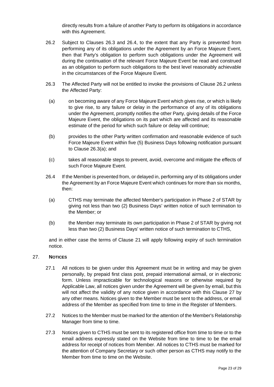directly results from a failure of another Party to perform its obligations in accordance with this Agreement.

- <span id="page-22-3"></span>26.2 Subject to Clauses [26.3](#page-22-1) and [26.4,](#page-22-2) to the extent that any Party is prevented from performing any of its obligations under the Agreement by an Force Majeure Event, then that Party's obligation to perform such obligations under the Agreement will during the continuation of the relevant Force Majeure Event be read and construed as an obligation to perform such obligations to the best level reasonably achievable in the circumstances of the Force Majeure Event.
- <span id="page-22-4"></span><span id="page-22-1"></span>26.3 The Affected Party will not be entitled to invoke the provisions of Clause [26.2](#page-22-3) unless the Affected Party:
	- (a) on becoming aware of any Force Majeure Event which gives rise, or which is likely to give rise, to any failure or delay in the performance of any of its obligations under the Agreement, promptly notifies the other Party, giving details of the Force Majeure Event, the obligations on its part which are affected and its reasonable estimate of the period for which such failure or delay will continue;
	- (b) provides to the other Party written confirmation and reasonable evidence of such Force Majeure Event within five (5) Business Days following notification pursuant to Clause [26.3\(a\);](#page-22-4) and
- (c) takes all reasonable steps to prevent, avoid, overcome and mitigate the effects of such Force Majeure Event.
- <span id="page-22-2"></span>26.4 If the Member is prevented from, or delayed in, performing any of its obligations under the Agreement by an Force Majeure Event which continues for more than six months, then:
	- (a) CTHS may terminate the affected Member's participation in Phase 2 of STAR by giving not less than two (2) Business Days' written notice of such termination to the Member; or
	- (b) the Member may terminate its own participation in Phase 2 of STAR by giving not less than two (2) Business Days' written notice of such termination to CTHS,

and in either case the terms of Clause [21](#page-19-0) will apply following expiry of such termination notice.

### <span id="page-22-0"></span>27. **NOTICES**

- 27.1 All notices to be given under this Agreement must be in writing and may be given personally, by prepaid first class post, prepaid international airmail, or in electronic form. Unless impracticable for technological reasons or otherwise required by Applicable Law, all notices given under the Agreement will be given by email, but this will not affect the validity of any notice given in accordance with this Clause [27](#page-22-0) by any other means. Notices given to the Member must be sent to the address, or email address of the Member as specified from time to time in the Register of Members.
- 27.2 Notices to the Member must be marked for the attention of the Member's Relationship Manager from time to time.
- 27.3 Notices given to CTHS must be sent to its registered office from time to time or to the email address expressly stated on the Website from time to time to be the email address for receipt of notices from Member. All notices to CTHS must be marked for the attention of Company Secretary or such other person as CTHS may notify to the Member from time to time on the Website.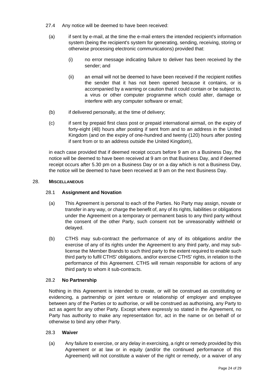- 27.4 Any notice will be deemed to have been received:
	- (a) if sent by e-mail, at the time the e-mail enters the intended recipient's information system (being the recipient's system for generating, sending, receiving, storing or otherwise processing electronic communications) provided that:
		- (i) no error message indicating failure to deliver has been received by the sender; and
		- (ii) an email will not be deemed to have been received if the recipient notifies the sender that it has not been opened because it contains, or is accompanied by a warning or caution that it could contain or be subject to, a virus or other computer programme which could alter, damage or interfere with any computer software or email;
- (b) if delivered personally, at the time of delivery;
- (c) if sent by prepaid first class post or prepaid international airmail, on the expiry of forty-eight (48) hours after posting if sent from and to an address in the United Kingdom (and on the expiry of one-hundred and twenty (120) hours after posting if sent from or to an address outside the United Kingdom),

in each case provided that if deemed receipt occurs before 9 am on a Business Day, the notice will be deemed to have been received at 9 am on that Business Day, and if deemed receipt occurs after 5.30 pm on a Business Day or on a day which is not a Business Day, the notice will be deemed to have been received at 9 am on the next Business Day.

### <span id="page-23-0"></span>28. **MISCELLANEOUS**

## 28.1 **Assignment and Novation**

- (a) This Agreement is personal to each of the Parties. No Party may assign, novate or transfer in any way, or charge the benefit of, any of its rights, liabilities or obligations under the Agreement on a temporary or permanent basis to any third party without the consent of the other Party, such consent not be unreasonably withheld or delayed.
- <span id="page-23-1"></span>(b) CTHS may sub-contract the performance of any of its obligations and/or the exercise of any of its rights under the Agreement to any third party, and may sublicense the Member Brands to such third party to the extent required to enable such third party to fulfil CTHS' obligations, and/or exercise CTHS' rights, in relation to the performance of this Agreement. CTHS will remain responsible for actions of any third party to whom it sub-contracts.

### 28.2 **No Partnership**

Nothing in this Agreement is intended to create, or will be construed as constituting or evidencing, a partnership or joint venture or relationship of employer and employee between any of the Parties or to authorise, or will be construed as authorising, any Party to act as agent for any other Party. Except where expressly so stated in the Agreement, no Party has authority to make any representation for, act in the name or on behalf of or otherwise to bind any other Party.

### 28.3 **Waiver**

(a) Any failure to exercise, or any delay in exercising, a right or remedy provided by this Agreement or at law or in equity (and/or the continued performance of this Agreement) will not constitute a waiver of the right or remedy, or a waiver of any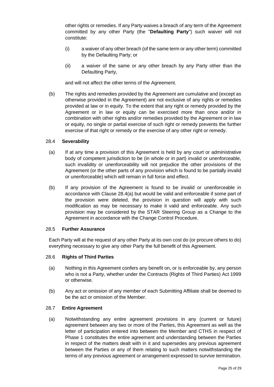other rights or remedies. If any Party waives a breach of any term of the Agreement committed by any other Party (the "**Defaulting Party**") such waiver will not constitute:

- (i) a waiver of any other breach (of the same term or any other term) committed by the Defaulting Party; or
- (ii) a waiver of the same or any other breach by any Party other than the Defaulting Party,

and will not affect the other terms of the Agreement.

(b) The rights and remedies provided by the Agreement are cumulative and (except as otherwise provided in the Agreement) are not exclusive of any rights or remedies provided at law or in equity. To the extent that any right or remedy provided by the Agreement or in law or equity can be exercised more than once and/or in combination with other rights and/or remedies provided by the Agreement or in law or equity, no single or partial exercise of such right or remedy prevents the further exercise of that right or remedy or the exercise of any other right or remedy.

### 28.4 **Severability**

- <span id="page-24-0"></span>(a) If at any time a provision of this Agreement is held by any court or administrative body of competent jurisdiction to be (in whole or in part) invalid or unenforceable, such invalidity or unenforceability will not prejudice the other provisions of the Agreement (or the other parts of any provision which is found to be partially invalid or unenforceable) which will remain in full force and effect.
- (b) If any provision of the Agreement is found to be invalid or unenforceable in accordance with Clause [28.4\(a\)](#page-24-0) but would be valid and enforceable if some part of the provision were deleted, the provision in question will apply with such modification as may be necessary to make it valid and enforceable. Any such provision may be considered by the STAR Steering Group as a Change to the Agreement in accordance with the Change Control Procedure.

### 28.5 **Further Assurance**

Each Party will at the request of any other Party at its own cost do (or procure others to do) everything necessary to give any other Party the full benefit of this Agreement.

### 28.6 **Rights of Third Parties**

- (a) Nothing in this Agreement confers any benefit on, or is enforceable by, any person who is not a Party, whether under the Contracts (Rights of Third Parties) Act 1999 or otherwise.
- (b) Any act or omission of any member of each Submitting Affiliate shall be deemed to be the act or omission of the Member.

### 28.7 **Entire Agreement**

(a) Notwithstanding any entire agreement provisions in any (current or future) agreement between any two or more of the Parties, this Agreement as well as the letter of participation entered into between the Member and CTHS in respect of Phase 1 constitutes the entire agreement and understanding between the Parties in respect of the matters dealt with in it and supersedes any previous agreement between the Parties or any of them relating to such matters notwithstanding the terms of any previous agreement or arrangement expressed to survive termination.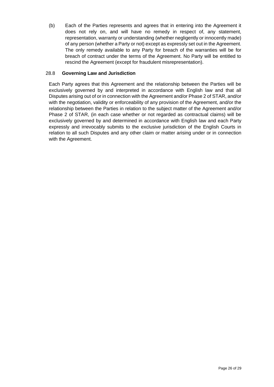(b) Each of the Parties represents and agrees that in entering into the Agreement it does not rely on, and will have no remedy in respect of, any statement, representation, warranty or understanding (whether negligently or innocently made) of any person (whether a Party or not) except as expressly set out in the Agreement. The only remedy available to any Party for breach of the warranties will be for breach of contract under the terms of the Agreement. No Party will be entitled to rescind the Agreement (except for fraudulent misrepresentation).

## <span id="page-25-0"></span>28.8 **Governing Law and Jurisdiction**

Each Party agrees that this Agreement and the relationship between the Parties will be exclusively governed by and interpreted in accordance with English law and that all Disputes arising out of or in connection with the Agreement and/or Phase 2 of STAR, and/or with the negotiation, validity or enforceability of any provision of the Agreement, and/or the relationship between the Parties in relation to the subject matter of the Agreement and/or Phase 2 of STAR, (in each case whether or not regarded as contractual claims) will be exclusively governed by and determined in accordance with English law and each Party expressly and irrevocably submits to the exclusive jurisdiction of the English Courts in relation to all such Disputes and any other claim or matter arising under or in connection with the Agreement.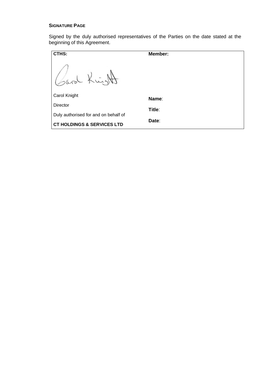## **SIGNATURE PAGE**

Signed by the duly authorised representatives of the Parties on the date stated at the beginning of this Agreement.

| CTHS:                                 | Member:         |
|---------------------------------------|-----------------|
|                                       |                 |
| Carol Knight                          | Name:           |
| Director                              |                 |
| Duly authorised for and on behalf of  | Title:<br>Date: |
| <b>CT HOLDINGS &amp; SERVICES LTD</b> |                 |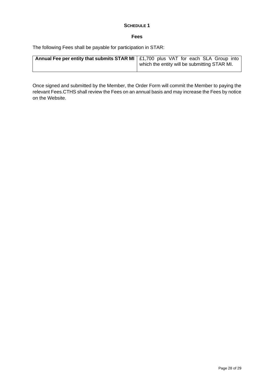## **SCHEDULE 1**

#### **Fees**

<span id="page-27-1"></span><span id="page-27-0"></span>The following Fees shall be payable for participation in STAR:

| Annual Fee per entity that submits STAR MI   £1,700 plus VAT for each SLA Group into |                                              |
|--------------------------------------------------------------------------------------|----------------------------------------------|
|                                                                                      | which the entity will be submitting STAR MI. |

Once signed and submitted by the Member, the Order Form will commit the Member to paying the relevant Fees.CTHS shall review the Fees on an annual basis and may increase the Fees by notice on the Website.